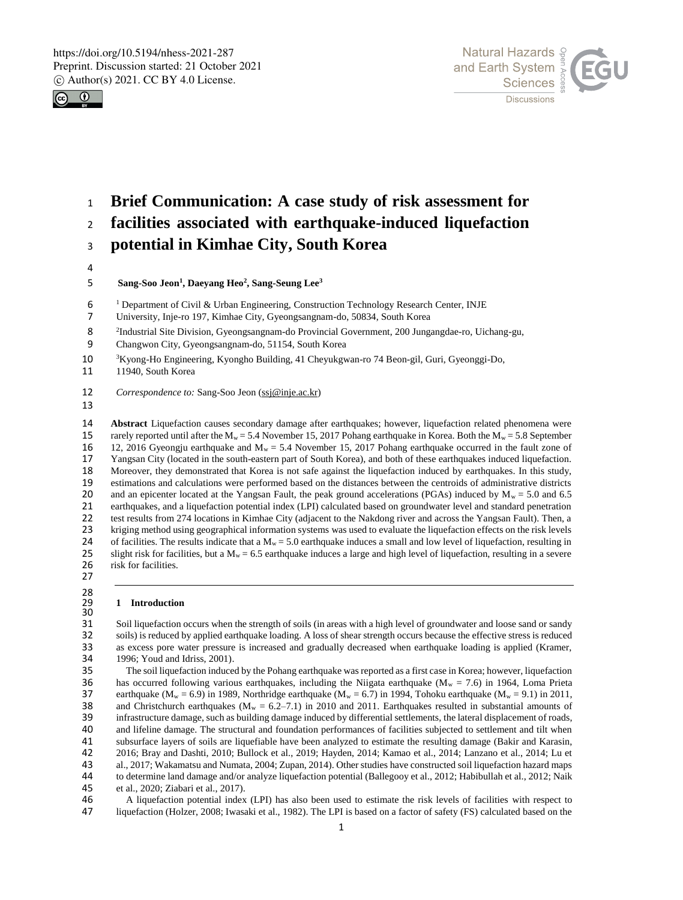



# <sup>1</sup> **Brief Communication: A case study of risk assessment for**

<sup>2</sup> **facilities associated with earthquake-induced liquefaction** 

<sup>3</sup> **potential in Kimhae City, South Korea**

4

# **Sang-Soo Jeon<sup>1</sup> , Daeyang Heo<sup>2</sup> , Sang-Seung Lee<sup>3</sup>** 5

- 6<br>7 <sup>1</sup> Department of Civil & Urban Engineering, Construction Technology Research Center, INJE
- 7 University, Inje-ro 197, Kimhae City, Gyeongsangnam-do, 50834, South Korea
- 2 <sup>2</sup>Industrial Site Division, Gyeongsangnam-do Provincial Government, 200 Jungangdae-ro, Uichang-gu,<br>
2 Changwon City, Gyeongsangnam-do, 51154, South Korea
- Changwon City, Gyeongsangnam-do, 51154, South Korea
- 10 <sup>3</sup>Kyong-Ho Engineering, Kyongho Building, 41 Cheyukgwan-ro 74 Beon-gil, Guri, Gyeonggi-Do,
- 11 11940, South Korea

12 *Correspondence to:* Sang-Soo Jeon (ssj@inje.ac.kr)

13

14 **Abstract** Liquefaction causes secondary damage after earthquakes; however, liquefaction related phenomena were rarely reported until after the M<sub>w</sub> = 5.4 November 15, 2017 Pohang earthquake in Korea. Both the M<sub>w</sub> = 5. 15 rarely reported until after the  $M_w = 5.4$  November 15, 2017 Pohang earthquake in Korea. Both the  $M_w = 5.8$  September 12, 2016 Gyeongiu earthquake and  $M_w = 5.4$  November 15, 2017 Pohang earthquake occurred in the fault 16 12, 2016 Gyeongju earthquake and  $M_w = 5.4$  November 15, 2017 Pohang earthquake occurred in the fault zone of 17 Yangsan City (located in the south-eastern part of South Korea), and both of these earthquakes induced liq 17 Yangsan City (located in the south-eastern part of South Korea), and both of these earthquakes induced liquefaction. 18 Moreover, they demonstrated that Korea is not safe against the liquefaction induced by earthquakes. In this study, estimations and calculations were performed based on the distances between the centroids of administrati 19 estimations and calculations were performed based on the distances between the centroids of administrative districts and an epicenter located at the Yangsan Fault, the peak ground accelerations (PGAs) induced by  $M_w = 5$ and an epicenter located at the Yangsan Fault, the peak ground accelerations (PGAs) induced by  $M_w = 5.0$  and 6.5 21 earthquakes, and a liquefaction potential index (LPI) calculated based on groundwater level and standard penetration 22 test results from 274 locations in Kimhae City (adjacent to the Nakdong river and across the Yangsan Fault). Then, a<br>23 kriging method using geographical information systems was used to evaluate the liquefaction effects 23 kriging method using geographical information systems was used to evaluate the liquefaction effects on the risk levels<br>24 of facilities. The results indicate that a  $M_w = 5.0$  earthquake induces a small and low level of 24 of facilities. The results indicate that a  $M_w = 5.0$  earthquake induces a small and low level of liquefaction, resulting in slight risk for facilities, but a  $M_w = 6.5$  earthquake induces a large and high level of lique slight risk for facilities, but a  $M_w = 6.5$  earthquake induces a large and high level of liquefaction, resulting in a severe 26 risk for facilities.

27 28

# 29 **1 Introduction**

30<br>31 31 Soil liquefaction occurs when the strength of soils (in areas with a high level of groundwater and loose sand or sandy<br>32 soils) is reduced by applied earthquake loading. A loss of shear strength occurs because the effe soils) is reduced by applied earthquake loading. A loss of shear strength occurs because the effective stress is reduced 33 as excess pore water pressure is increased and gradually decreased when earthquake loading is applied (Kramer, 34 1996; Youd and Idriss, 2001).<br>35 The soil liquefaction induce

35 The soil liquefaction induced by the Pohang earthquake was reported as a first case in Korea; however, liquefaction 36 has occurred following various earthquakes, including the Niigata earthquake ( $M_w = 7.6$ ) in 1964, Loma Prieta 37 earthquake ( $M_w = 6.9$ ) in 1989, Northridge earthquake ( $M_w = 6.7$ ) in 1994, Tohoku earthquake ( $M_w = 9.1$ ) 37 earthquake ( $M_w = 6.9$ ) in 1989, Northridge earthquake ( $M_w = 6.7$ ) in 1994, Tohoku earthquake ( $M_w = 9.1$ ) in 2011, and Christchurch earthquakes ( $M_w = 6.2$ –7.1) in 2010 and 2011. Earthquakes resulted in substantial amoun 38 and Christchurch earthquakes  $(M_w = 6.2-7.1)$  in 2010 and 2011. Earthquakes resulted in substantial amounts of infrastructure damage, such as building damage induced by differential settlements, the lateral displacement 39 infrastructure damage, such as building damage induced by differential settlements, the lateral displacement of roads,<br>40 and lifeline damage. The structural and foundation performances of facilities subjected to settle 40 and lifeline damage. The structural and foundation performances of facilities subjected to settlement and tilt when<br>41 subsurface layers of soils are liquefiable have been analyzed to estimate the resulting damage (Baki 41 subsurface layers of soils are liquefiable have been analyzed to estimate the resulting damage (Bakir and Karasin, 42 016; Bray and Dashti, 2010; Bullock et al., 2019; Hayden, 2014; Kamao et al., 2014; Lanzano et al., 2 42 2016; Bray and Dashti, 2010; Bullock et al., 2019; Hayden, 2014; Kamao et al., 2014; Lanzano et al., 2014; Lu et al., 2017; Wakamatsu and Numata, 2004; Zupan, 2014). Other studies have constructed soil liquefaction haza al., 2017; Wakamatsu and Numata, 2004; Zupan, 2014). Other studies have constructed soil liquefaction hazard maps 44 to determine land damage and/or analyze liquefaction potential (Ballegooy et al., 2012; Habibullah et al., 2012; Naik<br>45 et al., 2020; Ziabari et al., 2017). et al., 2020; Ziabari et al., 2017).

46 A liquefaction potential index (LPI) has also been used to estimate the risk levels of facilities with respect to 47 liquefaction (Holzer, 2008; Iwasaki et al., 1982). The LPI is based on a factor of safety (FS) calculated based on the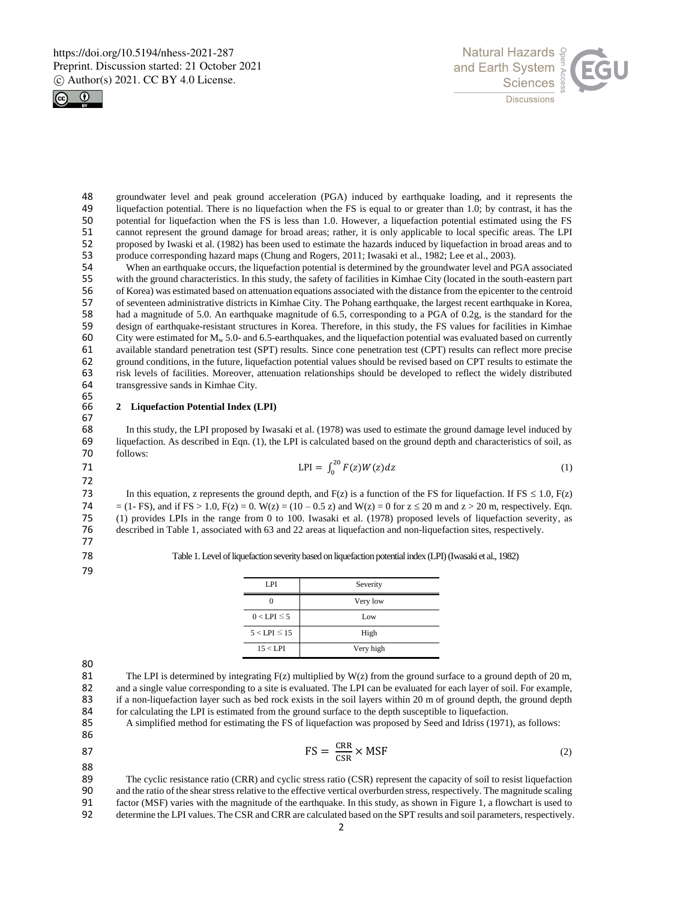



48 groundwater level and peak ground acceleration (PGA) induced by earthquake loading, and it represents the liquefaction potential. There is no liquefaction when the FS is equal to or greater than 1.0; by contrast, it has 49 liquefaction potential. There is no liquefaction when the FS is equal to or greater than 1.0; by contrast, it has the 50 potential for liquefaction when the FS is less than 1.0. However, a liquefaction potential estimat 50 potential for liquefaction when the FS is less than 1.0. However, a liquefaction potential estimated using the FS<br>51 cannot represent the ground damage for broad areas; rather, it is only applicable to local specific ar 51 cannot represent the ground damage for broad areas; rather, it is only applicable to local specific areas. The LPI<br>52 proposed by Iwaski et al. (1982) has been used to estimate the hazards induced by liquefaction in bro 52 proposed by Iwaski et al. (1982) has been used to estimate the hazards induced by liquefaction in broad areas and to<br>53 produce corresponding hazard maps (Chung and Rogers, 2011: Iwasaki et al., 1982: Lee et al., 2003). 53 produce corresponding hazard maps (Chung and Rogers, 2011; Iwasaki et al., 1982; Lee et al., 2003).<br>54 When an earthquake occurs, the liquefaction potential is determined by the groundwater level and P

54 When an earthquake occurs, the liquefaction potential is determined by the groundwater level and PGA associated<br>55 with the ground characteristics. In this study, the safety of facilities in Kimhae City (located in the 55 with the ground characteristics. In this study, the safety of facilities in Kimhae City (located in the south-eastern part of Korea) was estimated based on attenuation equations associated with the distance from the epi 56 of Korea) was estimated based on attenuation equations associated with the distance from the epicenter to the centroid<br>57 of seventeen administrative districts in Kimhae City. The Pohang earthquake, the largest recent e 57 of seventeen administrative districts in Kimhae City. The Pohang earthquake, the largest recent earthquake in Korea, 58 had a magnitude of 5.0. An earthquake magnitude of 6.5, corresponding to a PGA of 0.2g, is the standard for the<br>59 design of earthquake-resistant structures in Korea. Therefore, in this study, the FS values for faciliti 59 design of earthquake-resistant structures in Korea. Therefore, in this study, the FS values for facilities in Kimhae 60 City were estimated for  $M_w$  5.0- and 6.5-earthquakes, and the liquefaction potential was evaluate City were estimated for  $M_w$  5.0- and 6.5-earthquakes, and the liquefaction potential was evaluated based on currently 61 available standard penetration test (SPT) results. Since cone penetration test (CPT) results can reflect more precise 62 ground conditions, in the future, liquefaction potential values should be revised based on CPT results to estimate the risk levels of facilities. Moreover, attenuation relationships should be developed to reflect the wi 63 risk levels of facilities. Moreover, attenuation relationships should be developed to reflect the widely distributed transgressive sands in Kimhae City. 65<br>66

### 66 **2 Liquefaction Potential Index (LPI)**

67 68 In this study, the LPI proposed by Iwasaki et al. (1978) was used to estimate the ground damage level induced by<br>69 Inquefaction. As described in Eqn. (1), the LPI is calculated based on the ground depth and characteris 69 liquefaction. As described in Eqn. (1), the LPI is calculated based on the ground depth and characteristics of soil, as follows:

71 
$$
LPI = \int_0^{20} F(z)W(z)dz
$$
 (1)

72 In this equation, z represents the ground depth, and  $F(z)$  is a function of the FS for liquefaction. If FS  $\leq 1.0$ ,  $F(z)$ 74 = (1- FS), and if FS > 1.0, F(z) = 0. W(z) = (10 – 0.5 z) and W(z) = 0 for  $z \le 20$  m and  $z > 20$  m, respectively. Eqn. 75 (1) provides LPIs in the range from 0 to 100. Iwasaki et al. (1978) proposed levels of liquefaction severity, as described in Table 1, associated with 63 and 22 areas at liquefaction and non-liquefaction sites, respecti described in Table 1, associated with 63 and 22 areas at liquefaction and non-liquefaction sites, respectively.

77

79

78 Table 1. Level of liquefaction severity based on liquefaction potential index (LPI) (Iwasaki et al., 1982)

| LPI                 | Severity  |
|---------------------|-----------|
|                     | Very low  |
| $0 <$ LPI $\leq$ 5  | Low       |
| $5 <$ LPI $\leq$ 15 | High      |
| 15 < LPI            | Very high |

80

81 The LPI is determined by integrating  $F(z)$  multiplied by W(z) from the ground surface to a ground depth of 20 m,<br>82 and a single value corresponding to a site is evaluated. The LPI can be evaluated for each layer of so 82 and a single value corresponding to a site is evaluated. The LPI can be evaluated for each layer of soil. For example,<br>83 if a non-liquefaction layer such as bed rock exists in the soil layers within 20 m of ground dept 83 if a non-liquefaction layer such as bed rock exists in the soil layers within 20 m of ground depth, the ground depth for calculating the LPI is estimated from the ground surface to the depth susceptible to liquefaction. 84 for calculating the LPI is estimated from the ground surface to the depth susceptible to liquefaction.<br>85 A simplified method for estimating the FS of liquefaction was proposed by Seed and Idriss (1971)

85 A simplified method for estimating the FS of liquefaction was proposed by Seed and Idriss (1971), as follows:

86

$$
FS = \frac{CRR}{CSR} \times MSF
$$
 (2)

88 89 The cyclic resistance ratio (CRR) and cyclic stress ratio (CSR) represent the capacity of soil to resist liquefaction<br>90 and the ratio of the shear stress relative to the effective vertical overburden stress, respective 90 and the ratio of the shear stress relative to the effective vertical overburden stress, respectively. The magnitude scaling factor (MSF) varies with the magnitude of the earthquake. In this study, as shown in Figure 1, 91 factor (MSF) varies with the magnitude of the earthquake. In this study, as shown in Figure 1, a flowchart is used to<br>92 determine the LPI values. The CSR and CRR are calculated based on the SPT results and soil paramet determine the LPI values. The CSR and CRR are calculated based on the SPT results and soil parameters, respectively.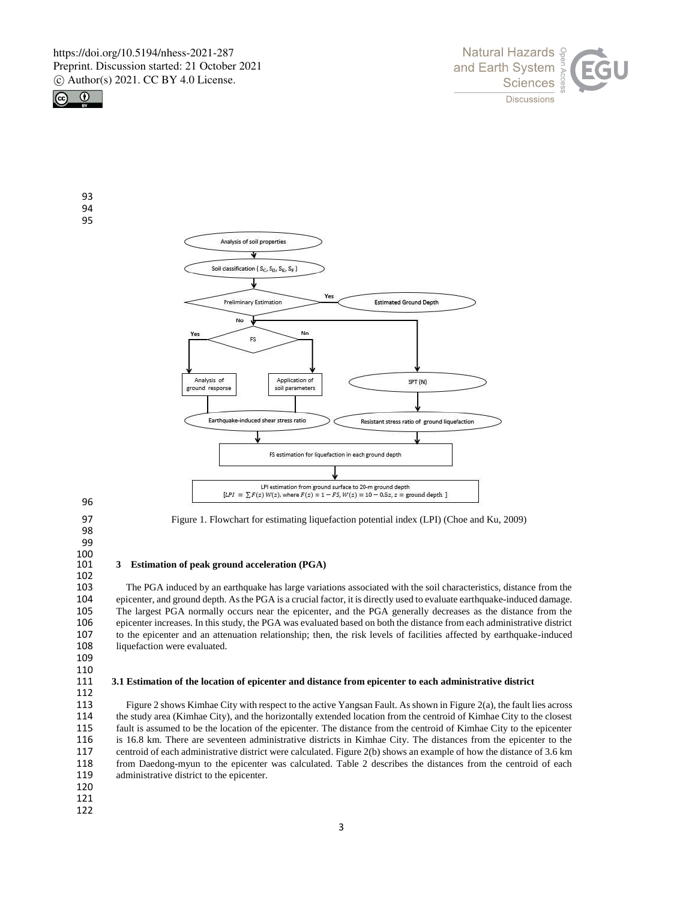

93 94 95





96

97 Figure 1. Flowchart for estimating liquefaction potential index (LPI) (Choe and Ku, 2009)

98

99

# $\frac{100}{101}$

102

# 101 **3 Estimation of peak ground acceleration (PGA)**

103 The PGA induced by an earthquake has large variations associated with the soil characteristics, distance from the epicenter, and ground depth. As the PGA is a crucial factor, it is directly used to evaluate earthquake-104 epicenter, and ground depth. As the PGA is a crucial factor, it is directly used to evaluate earthquake-induced damage. 105 The largest PGA normally occurs near the epicenter, and the PGA generally decreases as the distance from the epicenter increases. In this study, the PGA was evaluated based on both the distance from each administrative 106 epicenter increases. In this study, the PGA was evaluated based on both the distance from each administrative district 107 to the epicenter and an attenuation relationship; then, the risk levels of facilities affected 107 to the epicenter and an attenuation relationship; then, the risk levels of facilities affected by earthquake-induced 108 liquefaction were evaluated. liquefaction were evaluated.

109

## $\begin{array}{c} 110 \\ 111 \end{array}$ 111 **3.1 Estimation of the location of epicenter and distance from epicenter to each administrative district**

112<br>113 113 Figure 2 shows Kimhae City with respect to the active Yangsan Fault. As shown in Figure 2(a), the fault lies across<br>114 the study area (Kimhae City), and the horizontally extended location from the centroid of Kimhae C 114 the study area (Kimhae City), and the horizontally extended location from the centroid of Kimhae City to the closest 115 fault is assumed to be the location of the epicenter. The distance from the centroid of Kimhae City to the epicenter 116 is 16.8 km. There are seventeen administrative districts in Kimhae City. The distances from the epicenter to the centroid of each administrative district were calculated. Figure 2(b) shows an example of how the distanc centroid of each administrative district were calculated. Figure 2(b) shows an example of how the distance of 3.6 km 118 from Daedong-myun to the epicenter was calculated. Table 2 describes the distances from the centroid of each 119 administrative district to the epicenter.

- 120
- 121
- 122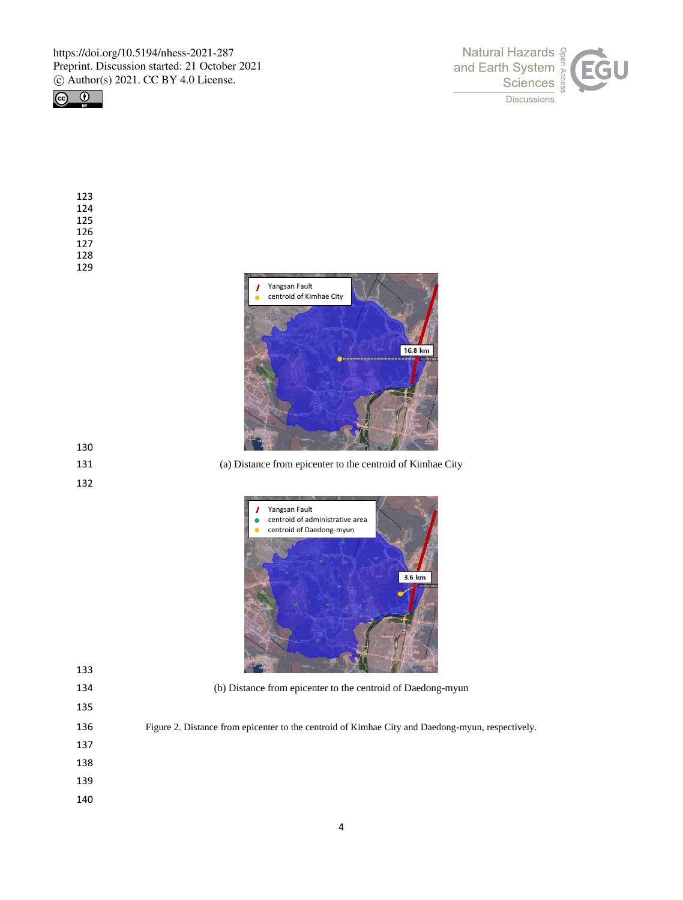



| 123 |
|-----|
| 124 |
| 125 |
| 126 |
| 127 |
| 128 |
| 129 |



(a) Distance from epicenter to the centroid of Kimhae City





(b) Distance from epicenter to the centroid of Daedong-myun

- Figure 2. Distance from epicenter to the centroid of Kimhae City and Daedong-myun, respectively.
- 

- 
- 
-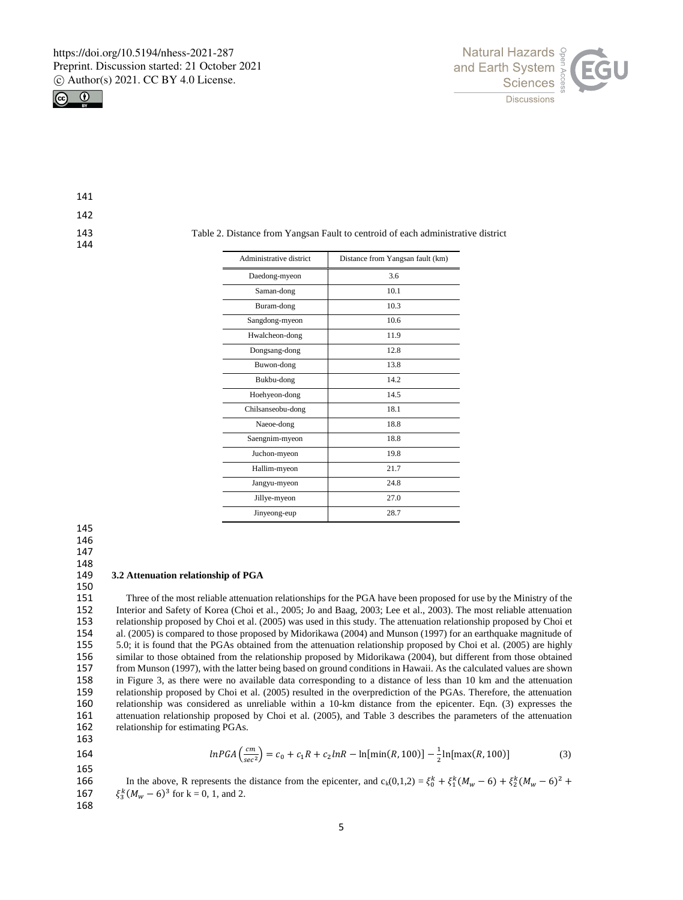



141

142

144

143 Table 2. Distance from Yangsan Fault to centroid of each administrative district

| Administrative district | Distance from Yangsan fault (km) |
|-------------------------|----------------------------------|
| Daedong-myeon           | 3.6                              |
| Saman-dong              | 10.1                             |
| Buram-dong              | 10.3                             |
| Sangdong-myeon          | 10.6                             |
| Hwalcheon-dong          | 11.9                             |
| Dongsang-dong           | 12.8                             |
| Buwon-dong              | 13.8                             |
| Bukbu-dong              | 14.2                             |
| Hoehyeon-dong           | 14.5                             |
| Chilsanseobu-dong       | 18.1                             |
| Naeoe-dong              | 18.8                             |
| Saengnim-myeon          | 18.8                             |
| Juchon-myeon            | 19.8                             |
| Hallim-myeon            | 21.7                             |
| Jangyu-myeon            | 24.8                             |
| Jillye-myeon            | 27.0                             |
| Jinyeong-eup            | 28.7                             |

145

146

147

# 148<br>149

# 149 **3.2 Attenuation relationship of PGA**

150<br>151 151 Three of the most reliable attenuation relationships for the PGA have been proposed for use by the Ministry of the 152 Interior and Safety of Korea (Choi et al., 2005; Jo and Baag, 2003; Lee et al., 2003). The most rel Interior and Safety of Korea (Choi et al., 2005; Jo and Baag, 2003; Lee et al., 2003). The most reliable attenuation 153 relationship proposed by Choi et al. (2005) was used in this study. The attenuation relationship proposed by Choi et 154 al. (2005) is compared to those proposed by Midorikawa (2004) and Munson (1997) for an earthquake magnitude of 155 5.0; it is found that the PGAs obtained from the attenuation relationship proposed by Choi et al. (2005 155 5.0; it is found that the PGAs obtained from the attenuation relationship proposed by Choi et al. (2005) are highly 156 similar to those obtained from the relationship proposed by Midorikawa (2004), but different from those obtained 157 from Munson (1997), with the latter being based on ground conditions in Hawaii. As the calculated values are shown<br>158 in Figure 3, as there were no available data corresponding to a distance of less than 10 km and the in Figure 3, as there were no available data corresponding to a distance of less than 10 km and the attenuation 159 relationship proposed by Choi et al. (2005) resulted in the overprediction of the PGAs. Therefore, the attenuation 160 relationship was considered as unreliable within a 10-km distance from the epicenter. Eqn. (3) expresses the 161 attenuation relationship proposed by Choi et al. (2005), and Table 3 describes the parameters of the attenuation 162 relationship for estimating PGAs.

163

165

$$
lnPGA\left(\frac{cm}{sec^2}\right) = c_0 + c_1R + c_2lnR - \ln[\min(R, 100)] - \frac{1}{2}\ln[\max(R, 100)]\tag{3}
$$

166 In the above, R represents the distance from the epicenter, and  $c_k(0,1,2) = \xi_0^k + \xi_1^k (M_w - 6) + \xi_2^k (M_w - 6)^2 +$ 167  $\xi_3^k (M_w - 6)^3$  for k = 0, 1, and 2. 168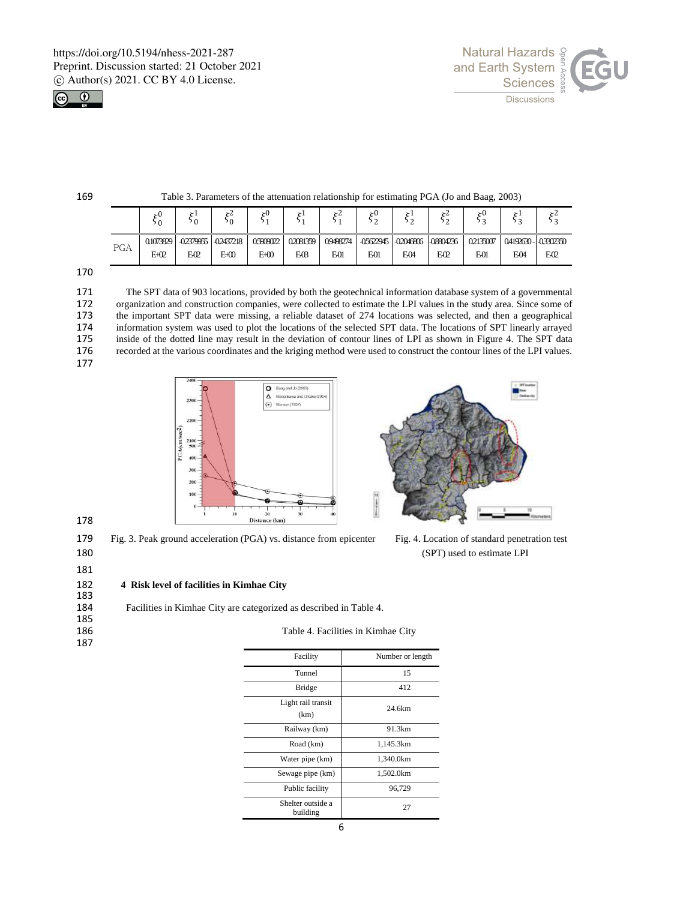



169 Table 3. Parameters of the attenuation relationship for estimating PGA (Jo and Baag, 2003)

|     | > ()      | $\mathbf{v}$<br>50 | <b>&gt;</b> 4<br>۰0 | ×L       | $\mathbf{r}$ | ΣŁ       | .اح |                           | ≻∠              | ۶u       |                     |     |
|-----|-----------|--------------------|---------------------|----------|--------------|----------|-----|---------------------------|-----------------|----------|---------------------|-----|
| PGA | 0.1073829 | -02379955          | -02437218           | 05909022 | 02081359     | 09498274 |     | $-0.5622945$ $-0.2046806$ | -08804236       | 02135007 | 04192630 - 03302350 |     |
|     | $E+02$    | E <sub>02</sub>    | E+00                | $E+00$   | ΕŒ           | E01      | E01 | EО                        | E <sub>02</sub> | E01      | E04                 | EO2 |

170

171 The SPT data of 903 locations, provided by both the geotechnical information database system of a governmental 172 organization and construction companies, were collected to estimate the LPI values in the study area. Since some of the important SPT data were missing, a reliable dataset of 274 locations was selected, and then a geog 173 the important SPT data were missing, a reliable dataset of 274 locations was selected, and then a geographical<br>174 information system was used to plot the locations of the selected SPT data. The locations of SPT linear 174 information system was used to plot the locations of the selected SPT data. The locations of SPT linearly arrayed 175 inside of the dotted line may result in the deviation of contour lines of LPI as shown in Figure 4. The SPT data<br>176 cecorded at the various coordinates and the kriging method were used to construct the contour lines o 176 recorded at the various coordinates and the kriging method were used to construct the contour lines of the LPI values. 177





179 Fig. 3. Peak ground acceleration (PGA) vs. distance from epicenter Fig. 4. Location of standard penetration test 180 (SPT) used to estimate LPI

181

### 182 **4 Risk level of facilities in Kimhae City**

| 183 |                                                                    |
|-----|--------------------------------------------------------------------|
| 184 | Facilities in Kimhae City are categorized as described in Table 4. |
| 185 |                                                                    |
| 186 | Table 4. Facilities in Kimhae City                                 |
| 187 |                                                                    |

| Facility                      | Number or length |
|-------------------------------|------------------|
| Tunnel                        | 15               |
| Bridge                        | 412              |
| Light rail transit<br>(km)    | 24.6km           |
| Railway (km)                  | 91.3km           |
| Road (km)                     | 1,145.3km        |
| Water pipe (km)               | 1.340.0km        |
| Sewage pipe (km)              | 1,502.0km        |
| Public facility               | 96,729           |
| Shelter outside a<br>building | 27               |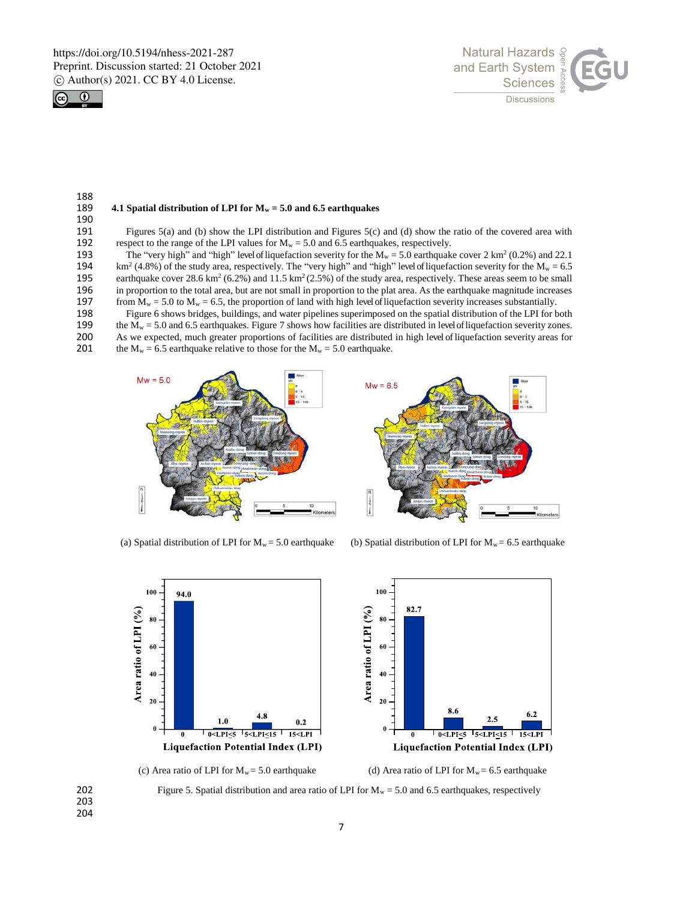



### 188<br>189 **4.1 Spatial distribution of LPI for**  $M_w = 5.0$  **and 6.5 earthquakes**

190<br>191 191 Figures 5(a) and (b) show the LPI distribution and Figures 5(c) and (d) show the ratio of the covered area with respect to the range of the LPI values for  $M_w = 5.0$  and 6.5 earthquakes, respectively. 192 respect to the range of the LPI values for  $M_w = 5.0$  and 6.5 earthquakes, respectively.<br>193 The "very high" and "high" level of liquefaction severity for the  $M_w = 5.0$  earthquak

The "very high" and "high" level of liquefaction severity for the  $M_w = 5.0$  earthquake cover 2 km<sup>2</sup> (0.2%) and 22.1<br>194 km<sup>2</sup> (4.8%) of the study area, respectively. The "very high" and "high" level of liquefaction sever  $km^2$  (4.8%) of the study area, respectively. The "very high" and "high" level of liquefaction severity for the  $M_w = 6.5$ 195 earthquake cover 28.6 km<sup>2</sup> (6.2%) and 11.5 km<sup>2</sup> (2.5%) of the study area, respectively. These areas seem to be small 196 in proportion to the total area, but are not small in proportion to the plat area. As the earthquake magnitude increases 197 from  $M_w = 5.0$  to  $M_w = 6.5$ , the proportion of land with high level of liquefaction severity from  $M_w = 5.0$  to  $M_w = 6.5$ , the proportion of land with high level of liquefaction severity increases substantially.

198 Figure 6 shows bridges, buildings, and water pipelines superimposed on the spatial distribution of the LPI for both 199 the  $M_w = 5.0$  and 6.5 earthquakes. Figure 7 shows how facilities are distributed in level of liqu

199 the  $M_w = 5.0$  and 6.5 earthquakes. Figure 7 shows how facilities are distributed in level of liquefaction severity zones.<br>200 As we expected, much greater proportions of facilities are distributed in high level of liq

- 200 As we expected, much greater proportions of facilities are distributed in high level of liquefaction severity areas for 201 the  $M_w = 6.5$  earthquake relative to those for the  $M_w = 5.0$  earthquake.
- the  $M_w = 6.5$  earthquake relative to those for the  $M_w = 5.0$  earthquake.





(a) Spatial distribution of LPI for  $M_w = 5.0$  earthquake (b) Spatial distribution of LPI for  $M_w = 6.5$  earthquake





203 204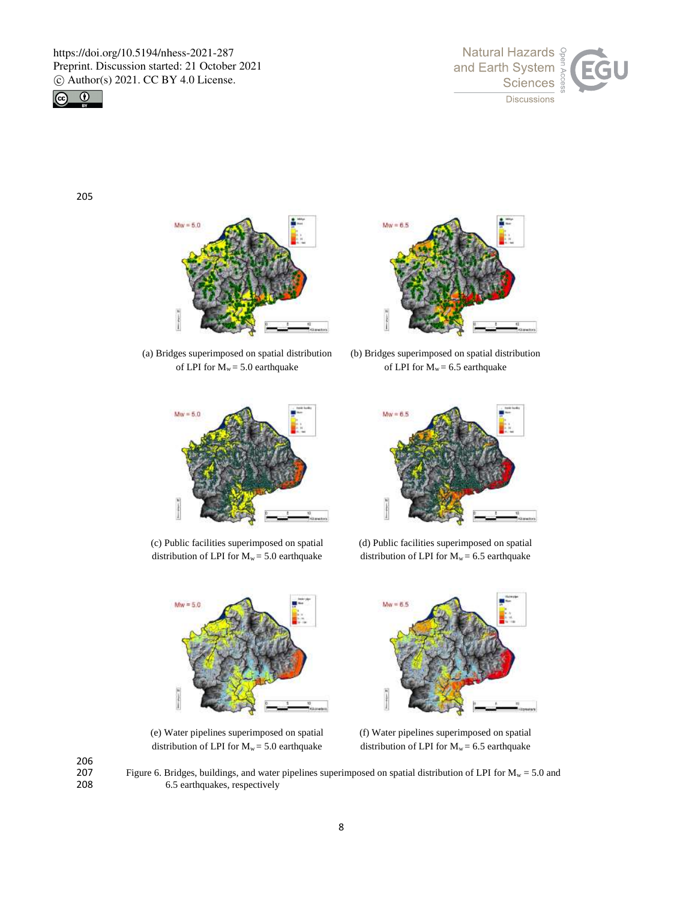



205



(a) Bridges superimposed on spatial distribution of LPI for  $M_w = 5.0$  earthquake



(c) Public facilities superimposed on spatial distribution of LPI for  $M_w = 5.0$  earthquake



(b) Bridges superimposed on spatial distribution of LPI for  $M_w = 6.5$  earthquake



(d) Public facilities superimposed on spatial distribution of LPI for  $M_w = 6.5$  earthquake



(e) Water pipelines superimposed on spatial distribution of LPI for  $M_w = 5.0$  earthquake



(f) Water pipelines superimposed on spatial distribution of LPI for  $M_w = 6.5$  earthquake

206

207 Figure 6. Bridges, buildings, and water pipelines superimposed on spatial distribution of LPI for  $M_w = 5.0$  and 6.5 earthquakes, respectively 6.5 earthquakes, respectively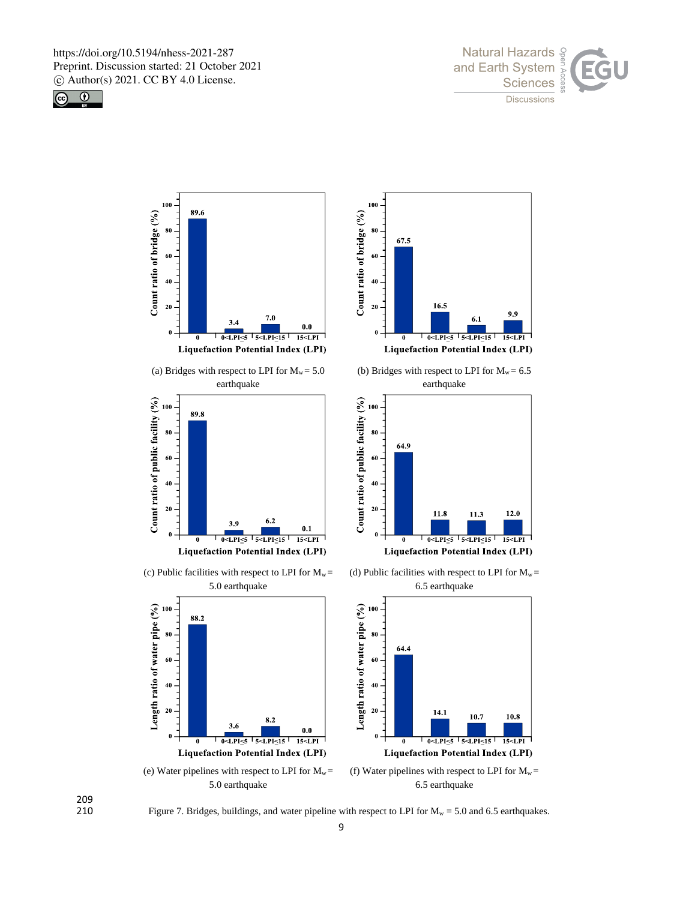







Figure 7. Bridges, buildings, and water pipeline with respect to LPI for  $M_w = 5.0$  and 6.5 earthquakes.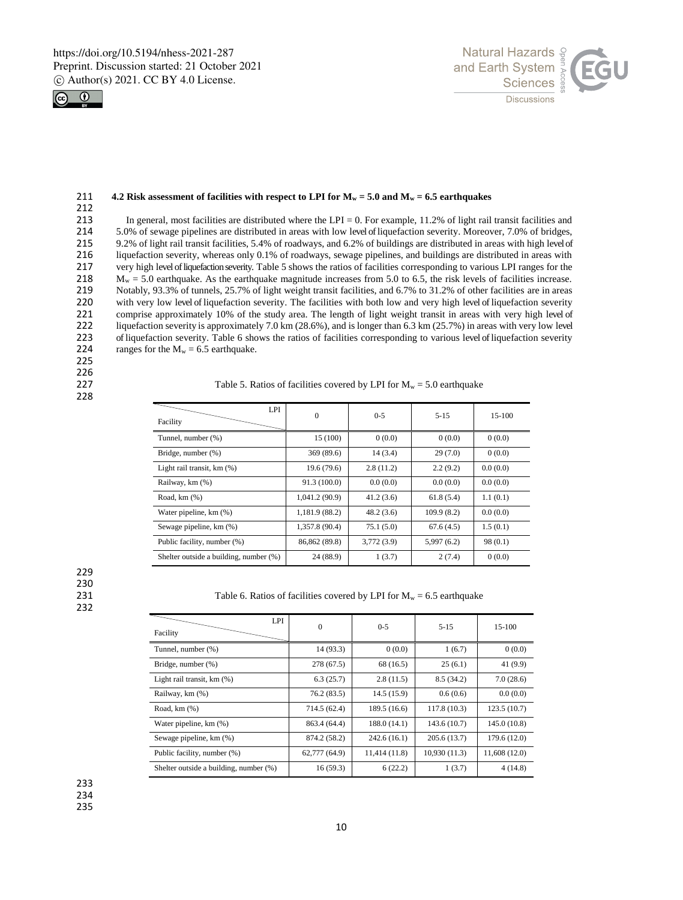



### 211 **4.2 Risk assessment of facilities with respect to LPI for M<sup>w</sup> = 5.0 and M<sup>w</sup> = 6.5 earthquakes**

212 213 In general, most facilities are distributed where the LPI = 0. For example, 11.2% of light rail transit facilities and  $214$  5.0% of sewage pipelines are distributed in areas with low level of liquefaction severity. M 214 5.0% of sewage pipelines are distributed in areas with low level of liquefaction severity. Moreover, 7.0% of bridges,<br>215 9.2% of light rail transit facilities, 5.4% of roadways, and 6.2% of buildings are distributed i 215 9.2% of light rail transit facilities, 5.4% of roadways, and 6.2% of buildings are distributed in areas with high level of 216 liquefaction severity, whereas only 0.1% of roadways, sewage pipelines, and buildings are d 216 liquefaction severity, whereas only 0.1% of roadways, sewage pipelines, and buildings are distributed in areas with 217 very high level of liquefaction severity. Table 5 shows the ratios of facilities corresponding to various LPI ranges for the 218  $M_w = 5.0$  earthquake. As the earthquake magnitude increases from 5.0 to 6.5, the risk le 218 M<sub>w</sub> = 5.0 earthquake. As the earthquake magnitude increases from 5.0 to 6.5, the risk levels of facilities increase.<br>219 Notably, 93.3% of tunnels, 25.7% of light weight transit facilities, and 6.7% to 31.2% of other Notably, 93.3% of tunnels, 25.7% of light weight transit facilities, and 6.7% to 31.2% of other facilities are in areas 220 with very low level of liquefaction severity. The facilities with both low and very high level of liquefaction severity<br>221 comprise approximately 10% of the study area. The length of light weight transit in areas with 221 comprise approximately 10% of the study area. The length of light weight transit in areas with very high level of 222 lique faction severity is approximately 7.0 km (28.6%), and is longer than 6.3 km (25.7%) in areas w 222 liquefaction severity is approximately 7.0 km (28.6%), and is longer than 6.3 km (25.7%) in areas with very low level<br>223 of liquefaction severity Table 6 shows the ratios of facilities corresponding to various level o 223 of liquefaction severity. Table 6 shows the ratios of facilities corresponding to various level of liquefaction severity<br>224 ranges for the  $M_w = 6.5$  earthquake. ranges for the  $M_w = 6.5$  earthquake.

225

226<br>227

228

## Table 5. Ratios of facilities covered by LPI for  $M_w = 5.0$  earthquake

| <b>LPI</b><br>Facility                 | $\mathbf{0}$   | $0 - 5$    | $5 - 15$   | 15-100   |
|----------------------------------------|----------------|------------|------------|----------|
| Tunnel, number (%)                     | 15 (100)       | 0(0.0)     | 0(0.0)     | 0(0.0)   |
| Bridge, number (%)                     | 369 (89.6)     | 14(3.4)    | 29(7.0)    | 0(0.0)   |
| Light rail transit, km (%)             | 19.6(79.6)     | 2.8(11.2)  | 2.2(9.2)   | 0.0(0.0) |
| Railway, km (%)                        | 91.3 (100.0)   | 0.0(0.0)   | 0.0(0.0)   | 0.0(0.0) |
| Road, $km(%)$                          | 1,041.2 (90.9) | 41.2(3.6)  | 61.8(5.4)  | 1.1(0.1) |
| Water pipeline, km (%)                 | 1,181.9 (88.2) | 48.2(3.6)  | 109.9(8.2) | 0.0(0.0) |
| Sewage pipeline, km (%)                | 1,357.8 (90.4) | 75.1(5.0)  | 67.6(4.5)  | 1.5(0.1) |
| Public facility, number (%)            | 86,862 (89.8)  | 3,772(3.9) | 5,997(6.2) | 98(0.1)  |
| Shelter outside a building, number (%) | 24 (88.9)      | 1(3.7)     | 2(7.4)     | 0(0.0)   |

229 230

232

231 Table 6. Ratios of facilities covered by LPI for  $M_w = 6.5$  earthquake

| LPI<br>Facility                        | $\mathbf{0}$  | $0 - 5$       | $5 - 15$     | 15-100       |
|----------------------------------------|---------------|---------------|--------------|--------------|
| Tunnel, number (%)                     | 14 (93.3)     | 0(0.0)        | 1(6.7)       | 0(0.0)       |
| Bridge, number (%)                     | 278 (67.5)    | 68 (16.5)     | 25(6.1)      | 41 (9.9)     |
| Light rail transit, km (%)             | 6.3(25.7)     | 2.8(11.5)     | 8.5(34.2)    | 7.0(28.6)    |
| Railway, km (%)                        | 76.2 (83.5)   | 14.5 (15.9)   | 0.6(0.6)     | 0.0(0.0)     |
| Road, $km(%)$                          | 714.5 (62.4)  | 189.5(16.6)   | 117.8(10.3)  | 123.5(10.7)  |
| Water pipeline, km (%)                 | 863.4 (64.4)  | 188.0(14.1)   | 143.6(10.7)  | 145.0(10.8)  |
| Sewage pipeline, km (%)                | 874.2 (58.2)  | 242.6(16.1)   | 205.6(13.7)  | 179.6 (12.0) |
| Public facility, number (%)            | 62,777 (64.9) | 11,414 (11.8) | 10,930(11.3) | 11,608(12.0) |
| Shelter outside a building, number (%) | 16(59.3)      | 6(22.2)       | 1(3.7)       | 4(14.8)      |

233

234

235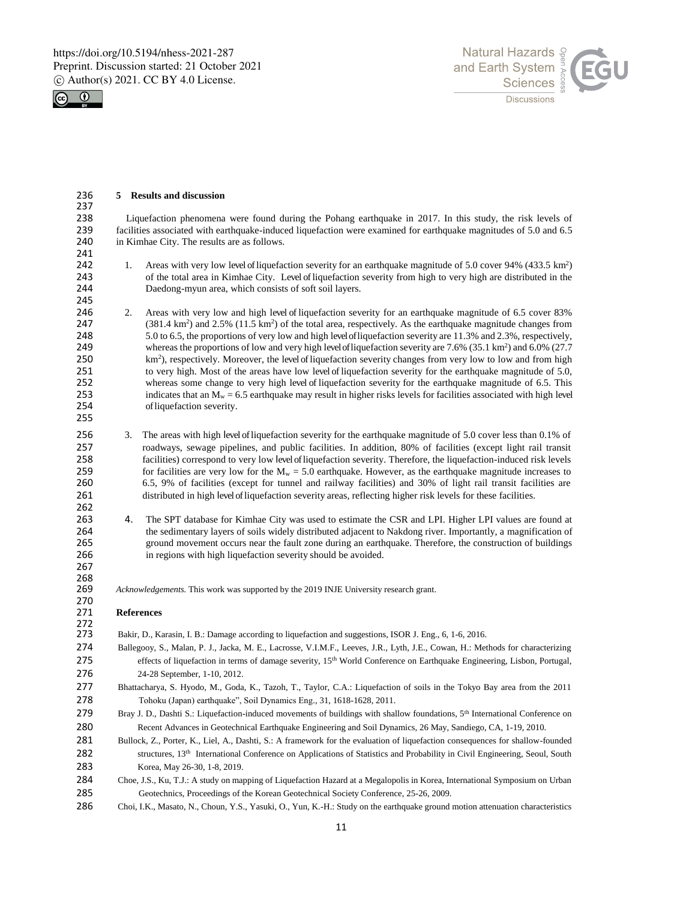



| 236                                                                | 5 Results and discussion                                                                                                                                                                                                                                                                                                                                                                                                                                                                                                                                                                                                                                                                                                                                                                                                                                                                                                                                                                                                  |
|--------------------------------------------------------------------|---------------------------------------------------------------------------------------------------------------------------------------------------------------------------------------------------------------------------------------------------------------------------------------------------------------------------------------------------------------------------------------------------------------------------------------------------------------------------------------------------------------------------------------------------------------------------------------------------------------------------------------------------------------------------------------------------------------------------------------------------------------------------------------------------------------------------------------------------------------------------------------------------------------------------------------------------------------------------------------------------------------------------|
| 237<br>238<br>239<br>240                                           | Liquefaction phenomena were found during the Pohang earthquake in 2017. In this study, the risk levels of<br>facilities associated with earthquake-induced liquefaction were examined for earthquake magnitudes of 5.0 and 6.5<br>in Kimhae City. The results are as follows.                                                                                                                                                                                                                                                                                                                                                                                                                                                                                                                                                                                                                                                                                                                                             |
| 241                                                                |                                                                                                                                                                                                                                                                                                                                                                                                                                                                                                                                                                                                                                                                                                                                                                                                                                                                                                                                                                                                                           |
| 242<br>243<br>244<br>245                                           | Areas with very low level of liquefaction severity for an earthquake magnitude of 5.0 cover 94% (433.5 km <sup>2</sup> )<br>1.<br>of the total area in Kimhae City. Level of liquefaction severity from high to very high are distributed in the<br>Daedong-myun area, which consists of soft soil layers.                                                                                                                                                                                                                                                                                                                                                                                                                                                                                                                                                                                                                                                                                                                |
| 246<br>247<br>248<br>249<br>250<br>251<br>252<br>253<br>254<br>255 | 2.<br>Areas with very low and high level of liquefaction severity for an earthquake magnitude of 6.5 cover 83%<br>$(381.4 \text{ km}^2)$ and 2.5% $(11.5 \text{ km}^2)$ of the total area, respectively. As the earthquake magnitude changes from<br>5.0 to 6.5, the proportions of very low and high level of liquefaction severity are 11.3% and 2.3%, respectively,<br>whereas the proportions of low and very high level of liquefaction severity are $7.6\%$ (35.1 km <sup>2</sup> ) and $6.0\%$ (27.7<br>km <sup>2</sup> ), respectively. Moreover, the level of liquefaction severity changes from very low to low and from high<br>to very high. Most of the areas have low level of liquefaction severity for the earthquake magnitude of 5.0,<br>whereas some change to very high level of liquefaction severity for the earthquake magnitude of 6.5. This<br>indicates that an $M_w = 6.5$ earthquake may result in higher risks levels for facilities associated with high level<br>of liquefaction severity. |
| 256<br>257<br>258<br>259<br>260<br>261<br>262                      | 3.<br>The areas with high level of liquefaction severity for the earthquake magnitude of 5.0 cover less than 0.1% of<br>roadways, sewage pipelines, and public facilities. In addition, 80% of facilities (except light rail transit<br>facilities) correspond to very low level of liquefaction severity. Therefore, the liquefaction-induced risk levels<br>for facilities are very low for the $M_w = 5.0$ earthquake. However, as the earthquake magnitude increases to<br>6.5, 9% of facilities (except for tunnel and railway facilities) and 30% of light rail transit facilities are<br>distributed in high level of liquefaction severity areas, reflecting higher risk levels for these facilities.                                                                                                                                                                                                                                                                                                             |
| 263<br>264<br>265<br>266<br>267                                    | The SPT database for Kimhae City was used to estimate the CSR and LPI. Higher LPI values are found at<br>4.<br>the sedimentary layers of soils widely distributed adjacent to Nakdong river. Importantly, a magnification of<br>ground movement occurs near the fault zone during an earthquake. Therefore, the construction of buildings<br>in regions with high liquefaction severity should be avoided.                                                                                                                                                                                                                                                                                                                                                                                                                                                                                                                                                                                                                |
| 268<br>269<br>270                                                  | Acknowledgements. This work was supported by the 2019 INJE University research grant.                                                                                                                                                                                                                                                                                                                                                                                                                                                                                                                                                                                                                                                                                                                                                                                                                                                                                                                                     |
| 271                                                                | References                                                                                                                                                                                                                                                                                                                                                                                                                                                                                                                                                                                                                                                                                                                                                                                                                                                                                                                                                                                                                |
| 272<br>273                                                         | Bakir, D., Karasin, I. B.: Damage according to liquefaction and suggestions, ISOR J. Eng., 6, 1-6, 2016.                                                                                                                                                                                                                                                                                                                                                                                                                                                                                                                                                                                                                                                                                                                                                                                                                                                                                                                  |
| 274                                                                | Ballegooy, S., Malan, P. J., Jacka, M. E., Lacrosse, V.I.M.F., Leeves, J.R., Lyth, J.E., Cowan, H.: Methods for characterizing                                                                                                                                                                                                                                                                                                                                                                                                                                                                                                                                                                                                                                                                                                                                                                                                                                                                                            |
| 275                                                                | effects of liquefaction in terms of damage severity, 15 <sup>th</sup> World Conference on Earthquake Engineering, Lisbon, Portugal,                                                                                                                                                                                                                                                                                                                                                                                                                                                                                                                                                                                                                                                                                                                                                                                                                                                                                       |
| 276                                                                | 24-28 September, 1-10, 2012.                                                                                                                                                                                                                                                                                                                                                                                                                                                                                                                                                                                                                                                                                                                                                                                                                                                                                                                                                                                              |
| 277                                                                | Bhattacharya, S. Hyodo, M., Goda, K., Tazoh, T., Taylor, C.A.: Liquefaction of soils in the Tokyo Bay area from the 2011                                                                                                                                                                                                                                                                                                                                                                                                                                                                                                                                                                                                                                                                                                                                                                                                                                                                                                  |
| 278                                                                | Tohoku (Japan) earthquake", Soil Dynamics Eng., 31, 1618-1628, 2011.                                                                                                                                                                                                                                                                                                                                                                                                                                                                                                                                                                                                                                                                                                                                                                                                                                                                                                                                                      |
| 279                                                                | Bray J. D., Dashti S.: Liquefaction-induced movements of buildings with shallow foundations, 5 <sup>th</sup> International Conference on                                                                                                                                                                                                                                                                                                                                                                                                                                                                                                                                                                                                                                                                                                                                                                                                                                                                                  |
| 280                                                                | Recent Advances in Geotechnical Earthquake Engineering and Soil Dynamics, 26 May, Sandiego, CA, 1-19, 2010.                                                                                                                                                                                                                                                                                                                                                                                                                                                                                                                                                                                                                                                                                                                                                                                                                                                                                                               |
| 281                                                                | Bullock, Z., Porter, K., Liel, A., Dashti, S.: A framework for the evaluation of liquefaction consequences for shallow-founded                                                                                                                                                                                                                                                                                                                                                                                                                                                                                                                                                                                                                                                                                                                                                                                                                                                                                            |
| 282                                                                | structures, 13 <sup>th</sup> International Conference on Applications of Statistics and Probability in Civil Engineering, Seoul, South                                                                                                                                                                                                                                                                                                                                                                                                                                                                                                                                                                                                                                                                                                                                                                                                                                                                                    |
| 283                                                                | Korea, May 26-30, 1-8, 2019.                                                                                                                                                                                                                                                                                                                                                                                                                                                                                                                                                                                                                                                                                                                                                                                                                                                                                                                                                                                              |
| 284                                                                | Choe, J.S., Ku, T.J.: A study on mapping of Liquefaction Hazard at a Megalopolis in Korea, International Symposium on Urban                                                                                                                                                                                                                                                                                                                                                                                                                                                                                                                                                                                                                                                                                                                                                                                                                                                                                               |
| 285                                                                | Geotechnics, Proceedings of the Korean Geotechnical Society Conference, 25-26, 2009.                                                                                                                                                                                                                                                                                                                                                                                                                                                                                                                                                                                                                                                                                                                                                                                                                                                                                                                                      |
| 286                                                                | Choi, I.K., Masato, N., Choun, Y.S., Yasuki, O., Yun, K.-H.: Study on the earthquake ground motion attenuation characteristics                                                                                                                                                                                                                                                                                                                                                                                                                                                                                                                                                                                                                                                                                                                                                                                                                                                                                            |